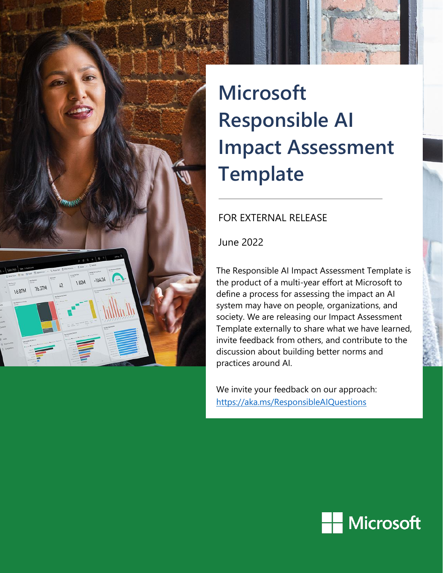

# **Microsoft Responsible AI Impact Assessment Template**

## FOR EXTERNAL RELEASE

June 2022

The Responsible AI Impact Assessment Template is the product of a multi-year effort at Microsoft to define a process for assessing the impact an AI system may have on people, organizations, and society. We are releasing our Impact Assessment Template externally to share what we have learned, invite feedback from others, and contribute to the discussion about building better norms and practices around AI.

We invite your feedback on our approach: <https://aka.ms/ResponsibleAIQuestions>

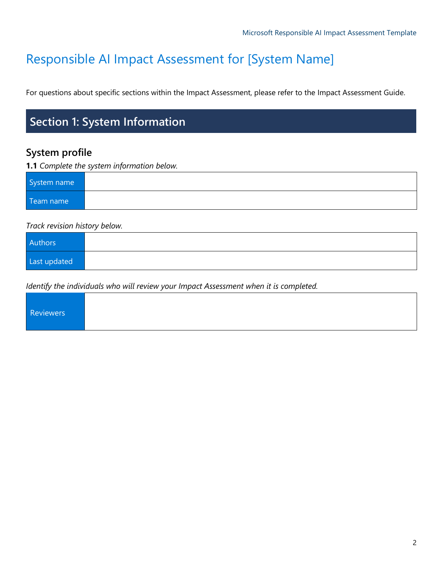# Responsible AI Impact Assessment for [System Name]

For questions about specific sections within the Impact Assessment, please refer to the Impact Assessment Guide.

# **Section 1: System Information**

## **System profile**

#### **1.1** *Complete the system information below.*

| System name |  |
|-------------|--|
| Team name   |  |

#### *Track revision history below.*

| Authors      |  |
|--------------|--|
| Last updated |  |

*Identify the individuals who will review your Impact Assessment when it is completed.* 

|--|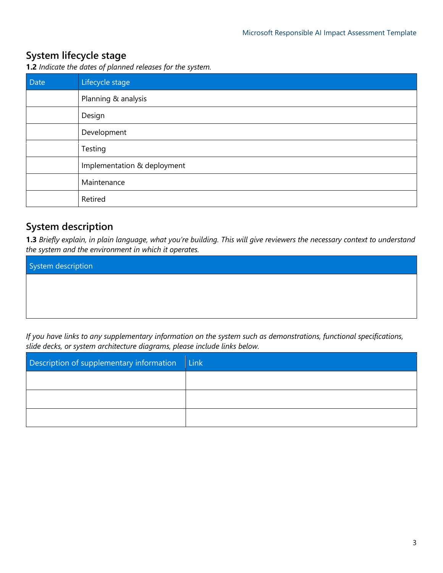## **System lifecycle stage**

**1.2** *Indicate the dates of planned releases for the system.*

| Date | Lifecycle stage             |
|------|-----------------------------|
|      | Planning & analysis         |
|      | Design                      |
|      | Development                 |
|      | Testing                     |
|      | Implementation & deployment |
|      | Maintenance                 |
|      | Retired                     |

## **System description**

**1.3** *Briefly explain, in plain language, what you're building. This will give reviewers the necessary context to understand the system and the environment in which it operates.* 

| System description |  |  |
|--------------------|--|--|
|                    |  |  |
|                    |  |  |
|                    |  |  |

*If you have links to any supplementary information on the system such as demonstrations, functional specifications, slide decks, or system architecture diagrams, please include links below.*

| Description of supplementary information | Link |
|------------------------------------------|------|
|                                          |      |
|                                          |      |
|                                          |      |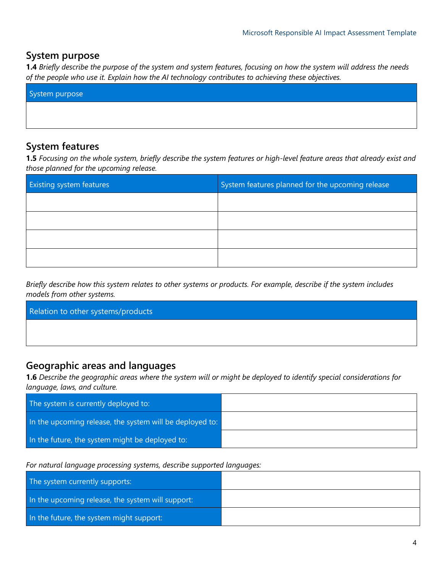#### **System purpose**

**1.4** *Briefly describe the purpose of the system and system features, focusing on how the system will address the needs of the people who use it. Explain how the AI technology contributes to achieving these objectives.*

| System purpose |  |  |
|----------------|--|--|
|                |  |  |
|                |  |  |

## **System features**

**1.5** *Focusing on the whole system, briefly describe the system features or high-level feature areas that already exist and those planned for the upcoming release.*

| <b>Existing system features</b> | System features planned for the upcoming release |
|---------------------------------|--------------------------------------------------|
|                                 |                                                  |
|                                 |                                                  |
|                                 |                                                  |
|                                 |                                                  |

*Briefly describe how this system relates to other systems or products. For example, describe if the system includes models from other systems.*

| Relation to other systems/products |  |
|------------------------------------|--|
|                                    |  |
|                                    |  |

## **Geographic areas and languages**

**1.6** *Describe the geographic areas where the system will or might be deployed to identify special considerations for language, laws, and culture.*

| The system is currently deployed to:                     |  |
|----------------------------------------------------------|--|
| In the upcoming release, the system will be deployed to: |  |
| In the future, the system might be deployed to:          |  |

*For natural language processing systems, describe supported languages:*

| The system currently supports:                    |  |
|---------------------------------------------------|--|
| In the upcoming release, the system will support: |  |
| In the future, the system might support:          |  |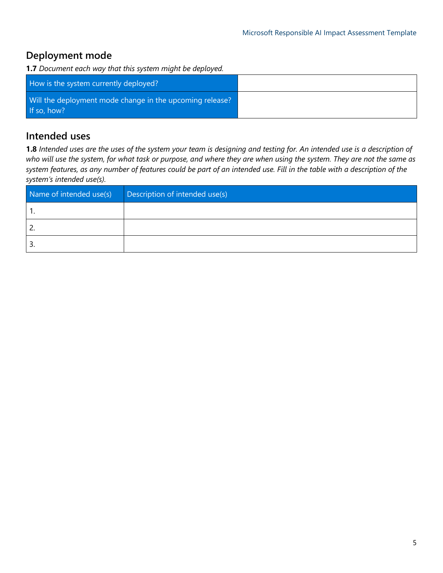## **Deployment mode**

**1.7** *Document each way that this system might be deployed.*

| How is the system currently deployed?                                   |  |
|-------------------------------------------------------------------------|--|
| Will the deployment mode change in the upcoming release?<br>If so, how? |  |

## **Intended uses**

**1.8** *Intended uses are the uses of the system your team is designing and testing for. An intended use is a description of who will use the system, for what task or purpose, and where they are when using the system. They are not the same as system features, as any number of features could be part of an intended use. Fill in the table with a description of the system's intended use(s).*

| Name of intended use(s) | Description of intended use(s) |
|-------------------------|--------------------------------|
|                         |                                |
|                         |                                |
| . ب                     |                                |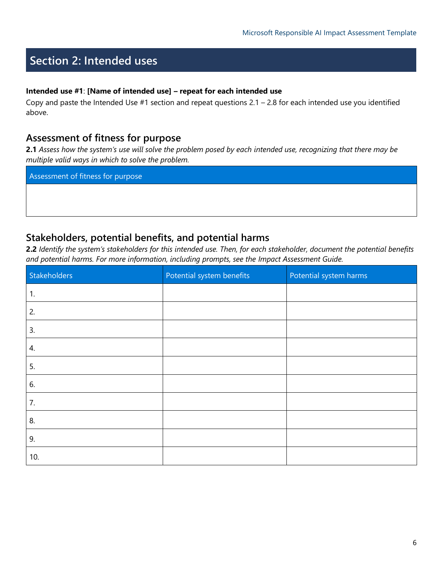# **Section 2: Intended uses**

#### **Intended use #1**: **[Name of intended use] – repeat for each intended use**

Copy and paste the Intended Use  $#1$  section and repeat questions  $2.1 - 2.8$  for each intended use you identified above.

#### **Assessment of fitness for purpose**

**2.1** *Assess how the system's use will solve the problem posed by each intended use, recognizing that there may be multiple valid ways in which to solve the problem.* 

Assessment of fitness for purpose

#### **Stakeholders, potential benefits, and potential harms**

**2.2** *Identify the system's stakeholders for this intended use. Then, for each stakeholder, document the potential benefits and potential harms. For more information, including prompts, see the Impact Assessment Guide.*

| Stakeholders | Potential system benefits | Potential system harms |
|--------------|---------------------------|------------------------|
| 1.           |                           |                        |
| 2.           |                           |                        |
| 3.           |                           |                        |
| 4.           |                           |                        |
| 5.           |                           |                        |
| 6.           |                           |                        |
| 7.           |                           |                        |
| 8.           |                           |                        |
| 9.           |                           |                        |
| 10.          |                           |                        |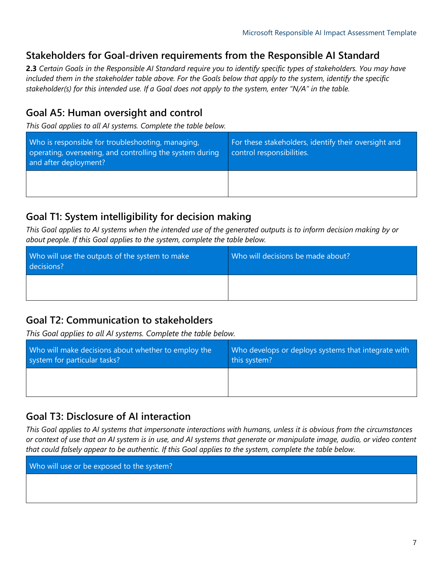## **Stakeholders for Goal-driven requirements from the Responsible AI Standard**

**2.3** *Certain Goals in the Responsible AI Standard require you to identify specific types of stakeholders. You may have included them in the stakeholder table above. For the Goals below that apply to the system, identify the specific stakeholder(s) for this intended use. If a Goal does not apply to the system, enter "N/A" in the table.* 

## **Goal A5: Human oversight and control**

*This Goal applies to all AI systems. Complete the table below.*

| Who is responsible for troubleshooting, managing,<br>operating, overseeing, and controlling the system during<br>and after deployment? | For these stakeholders, identify their oversight and<br>control responsibilities. |
|----------------------------------------------------------------------------------------------------------------------------------------|-----------------------------------------------------------------------------------|
|                                                                                                                                        |                                                                                   |

#### **Goal T1: System intelligibility for decision making**

*This Goal applies to AI systems when the intended use of the generated outputs is to inform decision making by or about people. If this Goal applies to the system, complete the table below.*

| Who will use the outputs of the system to make<br>decisions? | Who will decisions be made about? |
|--------------------------------------------------------------|-----------------------------------|
|                                                              |                                   |

## **Goal T2: Communication to stakeholders**

*This Goal applies to all AI systems. Complete the table below.* 

| Who will make decisions about whether to employ the | Who develops or deploys systems that integrate with |
|-----------------------------------------------------|-----------------------------------------------------|
| system for particular tasks?                        | this system?                                        |
|                                                     |                                                     |

## **Goal T3: Disclosure of AI interaction**

*This Goal applies to AI systems that impersonate interactions with humans, unless it is obvious from the circumstances or context of use that an AI system is in use, and AI systems that generate or manipulate image, audio, or video content that could falsely appear to be authentic. If this Goal applies to the system, complete the table below.*

Who will use or be exposed to the system?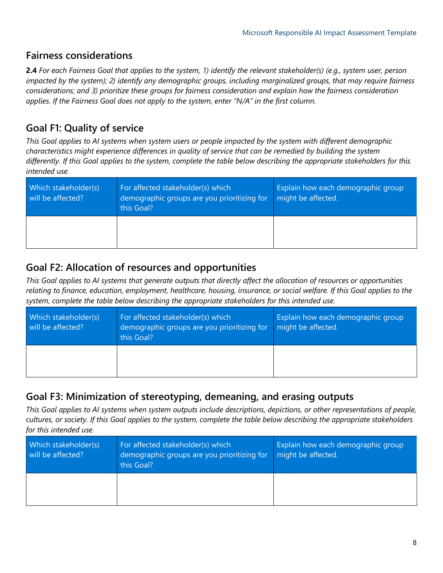## **Fairness considerations**

**2.4** *For each Fairness Goal that applies to the system, 1) identify the relevant stakeholder(s) (e.g., system user, person impacted by the system); 2) identify any demographic groups, including marginalized groups, that may require fairness considerations; and 3) prioritize these groups for fairness consideration and explain how the fairness consideration applies. If the Fairness Goal does not apply to the system, enter "N/A" in the first column.* 

## **Goal F1: Quality of service**

*This Goal applies to AI systems when system users or people impacted by the system with different demographic characteristics might experience differences in quality of service that can be remedied by building the system differently. If this Goal applies to the system, complete the table below describing the appropriate stakeholders for this intended use.* 

| Which stakeholder(s)<br>will be affected? | For affected stakeholder(s) which<br>demographic groups are you prioritizing for<br>this Goal? | Explain how each demographic group<br>might be affected. |
|-------------------------------------------|------------------------------------------------------------------------------------------------|----------------------------------------------------------|
|                                           |                                                                                                |                                                          |

## **Goal F2: Allocation of resources and opportunities**

*This Goal applies to AI systems that generate outputs that directly affect the allocation of resources or opportunities relating to finance, education, employment, healthcare, housing, insurance, or social welfare. If this Goal applies to the system, complete the table below describing the appropriate stakeholders for this intended use.* 

| Which stakeholder(s)<br>will be affected? | For affected stakeholder(s) which<br>demographic groups are you prioritizing for<br>this Goal? | Explain how each demographic group<br>might be affected. |
|-------------------------------------------|------------------------------------------------------------------------------------------------|----------------------------------------------------------|
|                                           |                                                                                                |                                                          |

## **Goal F3: Minimization of stereotyping, demeaning, and erasing outputs**

*This Goal applies to AI systems when system outputs include descriptions, depictions, or other representations of people, cultures, or society. If this Goal applies to the system, complete the table below describing the appropriate stakeholders for this intended use.* 

| Which stakeholder(s)<br>will be affected? | For affected stakeholder(s) which<br>demographic groups are you prioritizing for<br>this Goal? | Explain how each demographic group<br>might be affected. |
|-------------------------------------------|------------------------------------------------------------------------------------------------|----------------------------------------------------------|
|                                           |                                                                                                |                                                          |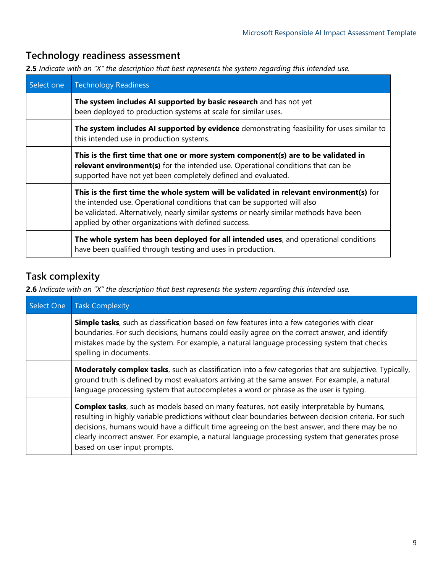## **Technology readiness assessment**

**2.5** *Indicate with an "X" the description that best represents the system regarding this intended use.*

| Select one | <b>Technology Readiness</b>                                                                                                                                                                                                                                                                                             |
|------------|-------------------------------------------------------------------------------------------------------------------------------------------------------------------------------------------------------------------------------------------------------------------------------------------------------------------------|
|            | The system includes AI supported by basic research and has not yet<br>been deployed to production systems at scale for similar uses.                                                                                                                                                                                    |
|            | The system includes AI supported by evidence demonstrating feasibility for uses similar to<br>this intended use in production systems.                                                                                                                                                                                  |
|            | This is the first time that one or more system component(s) are to be validated in<br>relevant environment(s) for the intended use. Operational conditions that can be<br>supported have not yet been completely defined and evaluated.                                                                                 |
|            | This is the first time the whole system will be validated in relevant environment(s) for<br>the intended use. Operational conditions that can be supported will also<br>be validated. Alternatively, nearly similar systems or nearly similar methods have been<br>applied by other organizations with defined success. |
|            | The whole system has been deployed for all intended uses, and operational conditions<br>have been qualified through testing and uses in production.                                                                                                                                                                     |

## **Task complexity**

**2.6** *Indicate with an "X" the description that best represents the system regarding this intended use.*

| Select One | <b>Task Complexity</b>                                                                                                                                                                                                                                                                                                                                                                                                                           |
|------------|--------------------------------------------------------------------------------------------------------------------------------------------------------------------------------------------------------------------------------------------------------------------------------------------------------------------------------------------------------------------------------------------------------------------------------------------------|
|            | Simple tasks, such as classification based on few features into a few categories with clear<br>boundaries. For such decisions, humans could easily agree on the correct answer, and identify<br>mistakes made by the system. For example, a natural language processing system that checks<br>spelling in documents.                                                                                                                             |
|            | <b>Moderately complex tasks</b> , such as classification into a few categories that are subjective. Typically,<br>ground truth is defined by most evaluators arriving at the same answer. For example, a natural<br>language processing system that autocompletes a word or phrase as the user is typing.                                                                                                                                        |
|            | <b>Complex tasks</b> , such as models based on many features, not easily interpretable by humans,<br>resulting in highly variable predictions without clear boundaries between decision criteria. For such<br>decisions, humans would have a difficult time agreeing on the best answer, and there may be no<br>clearly incorrect answer. For example, a natural language processing system that generates prose<br>based on user input prompts. |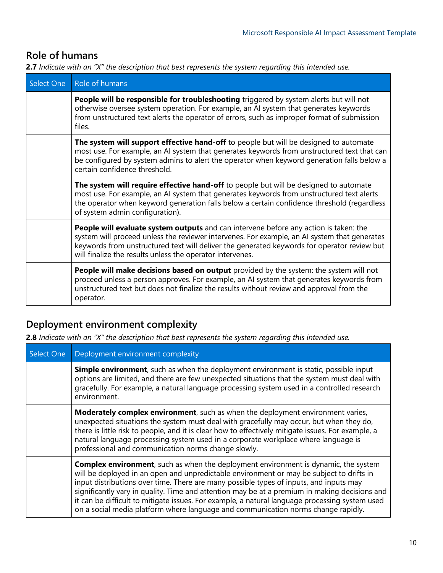## **Role of humans**

**2.7** *Indicate with an "X" the description that best represents the system regarding this intended use.*

| Select One | Role of humans                                                                                                                                                                                                                                                                                                                                    |
|------------|---------------------------------------------------------------------------------------------------------------------------------------------------------------------------------------------------------------------------------------------------------------------------------------------------------------------------------------------------|
|            | People will be responsible for troubleshooting triggered by system alerts but will not<br>otherwise oversee system operation. For example, an AI system that generates keywords<br>from unstructured text alerts the operator of errors, such as improper format of submission<br>files.                                                          |
|            | The system will support effective hand-off to people but will be designed to automate<br>most use. For example, an AI system that generates keywords from unstructured text that can<br>be configured by system admins to alert the operator when keyword generation falls below a<br>certain confidence threshold.                               |
|            | The system will require effective hand-off to people but will be designed to automate<br>most use. For example, an AI system that generates keywords from unstructured text alerts<br>the operator when keyword generation falls below a certain confidence threshold (regardless<br>of system admin configuration).                              |
|            | People will evaluate system outputs and can intervene before any action is taken: the<br>system will proceed unless the reviewer intervenes. For example, an AI system that generates<br>keywords from unstructured text will deliver the generated keywords for operator review but<br>will finalize the results unless the operator intervenes. |
|            | People will make decisions based on output provided by the system: the system will not<br>proceed unless a person approves. For example, an AI system that generates keywords from<br>unstructured text but does not finalize the results without review and approval from the<br>operator.                                                       |

## **Deployment environment complexity**

**2.8** *Indicate with an "X" the description that best represents the system regarding this intended use.*

| Select One | Deployment environment complexity                                                                                                                                                                                                                                                                                                                                                                                                                                                                                                                                         |
|------------|---------------------------------------------------------------------------------------------------------------------------------------------------------------------------------------------------------------------------------------------------------------------------------------------------------------------------------------------------------------------------------------------------------------------------------------------------------------------------------------------------------------------------------------------------------------------------|
|            | Simple environment, such as when the deployment environment is static, possible input<br>options are limited, and there are few unexpected situations that the system must deal with<br>gracefully. For example, a natural language processing system used in a controlled research<br>environment.                                                                                                                                                                                                                                                                       |
|            | Moderately complex environment, such as when the deployment environment varies,<br>unexpected situations the system must deal with gracefully may occur, but when they do,<br>there is little risk to people, and it is clear how to effectively mitigate issues. For example, a<br>natural language processing system used in a corporate workplace where language is<br>professional and communication norms change slowly.                                                                                                                                             |
|            | <b>Complex environment</b> , such as when the deployment environment is dynamic, the system<br>will be deployed in an open and unpredictable environment or may be subject to drifts in<br>input distributions over time. There are many possible types of inputs, and inputs may<br>significantly vary in quality. Time and attention may be at a premium in making decisions and<br>it can be difficult to mitigate issues. For example, a natural language processing system used<br>on a social media platform where language and communication norms change rapidly. |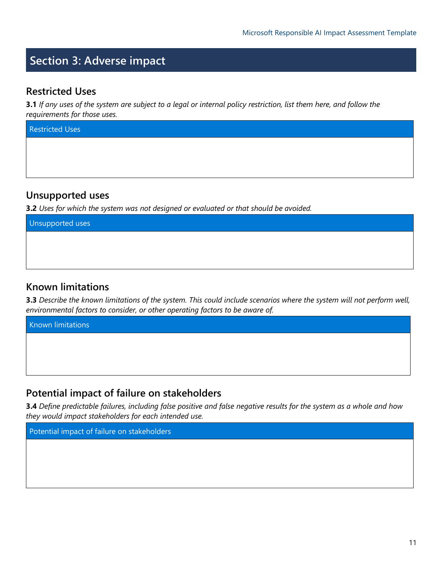# **Section 3: Adverse impact**

## **Restricted Uses**

**3.1** *If any uses of the system are subject to a legal or internal policy restriction, list them here, and follow the requirements for those uses.* 

Restricted Uses

## **Unsupported uses**

**3.2** *Uses for which the system was not designed or evaluated or that should be avoided.*

Unsupported uses

#### **Known limitations**

**3.3** *Describe the known limitations of the system. This could include scenarios where the system will not perform well, environmental factors to consider, or other operating factors to be aware of.*

Known limitations

## **Potential impact of failure on stakeholders**

**3.4** *Define predictable failures, including false positive and false negative results for the system as a whole and how they would impact stakeholders for each intended use.*

Potential impact of failure on stakeholders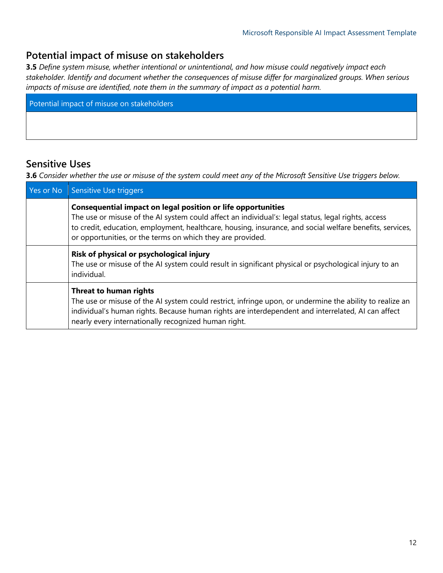## **Potential impact of misuse on stakeholders**

**3.5** *Define system misuse, whether intentional or unintentional, and how misuse could negatively impact each stakeholder. Identify and document whether the consequences of misuse differ for marginalized groups. When serious impacts of misuse are identified, note them in the summary of impact as a potential harm.*

Potential impact of misuse on stakeholders

## **Sensitive Uses**

**3.6** *Consider whether the use or misuse of the system could meet any of the Microsoft Sensitive Use triggers below.* 

| Yes or No | Sensitive Use triggers                                                                                                                                                                                                                                                                                                                               |
|-----------|------------------------------------------------------------------------------------------------------------------------------------------------------------------------------------------------------------------------------------------------------------------------------------------------------------------------------------------------------|
|           | <b>Consequential impact on legal position or life opportunities</b><br>The use or misuse of the AI system could affect an individual's: legal status, legal rights, access<br>to credit, education, employment, healthcare, housing, insurance, and social welfare benefits, services,<br>or opportunities, or the terms on which they are provided. |
|           | Risk of physical or psychological injury<br>The use or misuse of the AI system could result in significant physical or psychological injury to an<br>individual.                                                                                                                                                                                     |
|           | Threat to human rights<br>The use or misuse of the AI system could restrict, infringe upon, or undermine the ability to realize an<br>individual's human rights. Because human rights are interdependent and interrelated, AI can affect<br>nearly every internationally recognized human right.                                                     |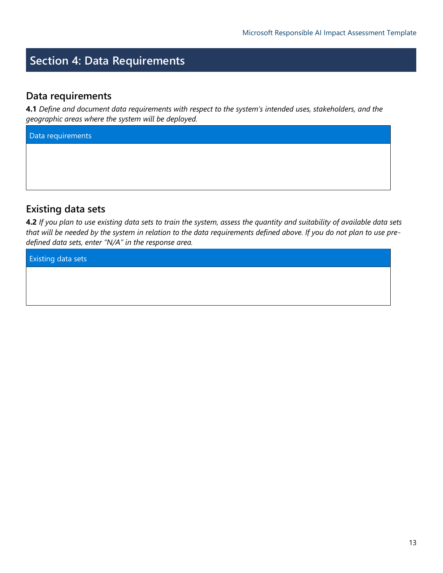# **Section 4: Data Requirements**

#### **Data requirements**

**4.1** *Define and document data requirements with respect to the system's intended uses, stakeholders, and the geographic areas where the system will be deployed.* 

Data requirements

## **Existing data sets**

**4.2** *If you plan to use existing data sets to train the system, assess the quantity and suitability of available data sets that will be needed by the system in relation to the data requirements defined above. If you do not plan to use predefined data sets, enter "N/A" in the response area.*

Existing data sets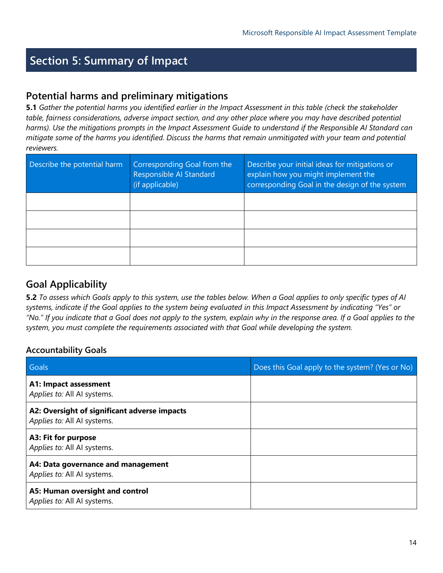# **Section 5: Summary of Impact**

## **Potential harms and preliminary mitigations**

**5.1** *Gather the potential harms you identified earlier in the Impact Assessment in this table (check the stakeholder*  table, fairness considerations, adverse impact section, and any other place where you may have described potential *harms). Use the mitigations prompts in the Impact Assessment Guide to understand if the Responsible AI Standard can mitigate some of the harms you identified. Discuss the harms that remain unmitigated with your team and potential reviewers.* 

| Describe the potential harm | Corresponding Goal from the<br>Responsible Al Standard<br>(if applicable) | Describe your initial ideas for mitigations or<br>explain how you might implement the<br>corresponding Goal in the design of the system |
|-----------------------------|---------------------------------------------------------------------------|-----------------------------------------------------------------------------------------------------------------------------------------|
|                             |                                                                           |                                                                                                                                         |
|                             |                                                                           |                                                                                                                                         |
|                             |                                                                           |                                                                                                                                         |
|                             |                                                                           |                                                                                                                                         |

## **Goal Applicability**

**5.2** *To assess which Goals apply to this system, use the tables below. When a Goal applies to only specific types of AI systems, indicate if the Goal applies to the system being evaluated in this Impact Assessment by indicating "Yes" or "No." If you indicate that a Goal does not apply to the system, explain why in the response area. If a Goal applies to the system, you must complete the requirements associated with that Goal while developing the system.* 

#### **Accountability Goals**

| Goals                                                                       | Does this Goal apply to the system? (Yes or No) |
|-----------------------------------------------------------------------------|-------------------------------------------------|
| A1: Impact assessment<br>Applies to: All AI systems.                        |                                                 |
| A2: Oversight of significant adverse impacts<br>Applies to: All AI systems. |                                                 |
| A3: Fit for purpose<br>Applies to: All AI systems.                          |                                                 |
| A4: Data governance and management<br>Applies to: All AI systems.           |                                                 |
| A5: Human oversight and control<br>Applies to: All AI systems.              |                                                 |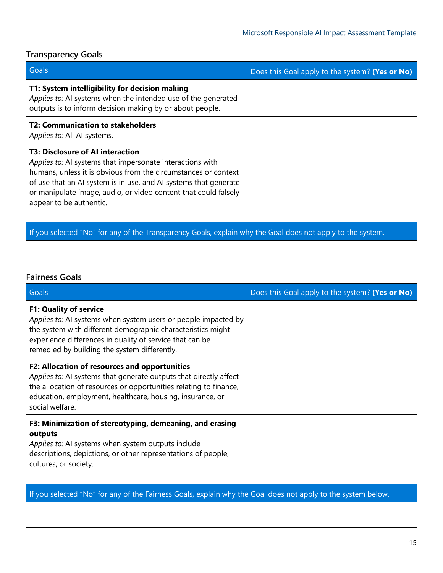#### **Transparency Goals**

| Goals                                                                                                                                                                                                                                                                                                                                    | Does this Goal apply to the system? (Yes or No) |
|------------------------------------------------------------------------------------------------------------------------------------------------------------------------------------------------------------------------------------------------------------------------------------------------------------------------------------------|-------------------------------------------------|
| T1: System intelligibility for decision making<br>Applies to: AI systems when the intended use of the generated<br>outputs is to inform decision making by or about people.                                                                                                                                                              |                                                 |
| T2: Communication to stakeholders<br>Applies to: All Al systems.                                                                                                                                                                                                                                                                         |                                                 |
| <b>T3: Disclosure of AI interaction</b><br>Applies to: AI systems that impersonate interactions with<br>humans, unless it is obvious from the circumstances or context<br>of use that an AI system is in use, and AI systems that generate<br>or manipulate image, audio, or video content that could falsely<br>appear to be authentic. |                                                 |

## If you selected "No" for any of the Transparency Goals, explain why the Goal does not apply to the system.

#### **Fairness Goals**

| Goals                                                                                                                                                                                                                                                                      | Does this Goal apply to the system? (Yes or No) |
|----------------------------------------------------------------------------------------------------------------------------------------------------------------------------------------------------------------------------------------------------------------------------|-------------------------------------------------|
| <b>F1: Quality of service</b><br>Applies to: AI systems when system users or people impacted by<br>the system with different demographic characteristics might<br>experience differences in quality of service that can be<br>remedied by building the system differently. |                                                 |
| F2: Allocation of resources and opportunities<br>Applies to: AI systems that generate outputs that directly affect<br>the allocation of resources or opportunities relating to finance,<br>education, employment, healthcare, housing, insurance, or<br>social welfare.    |                                                 |
| F3: Minimization of stereotyping, demeaning, and erasing<br>outputs<br>Applies to: AI systems when system outputs include<br>descriptions, depictions, or other representations of people,<br>cultures, or society.                                                        |                                                 |

If you selected "No" for any of the Fairness Goals, explain why the Goal does not apply to the system below.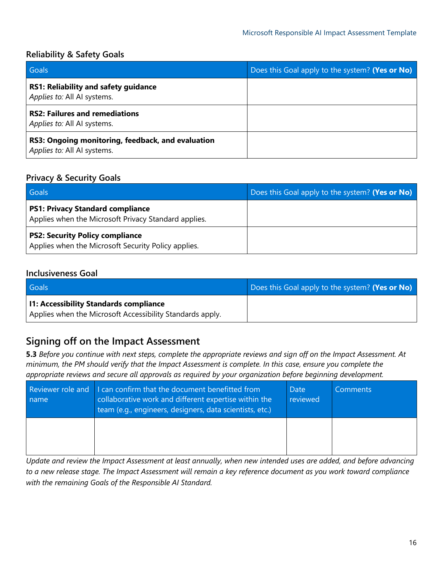#### **Reliability & Safety Goals**

| Goals                                                                            | Does this Goal apply to the system? (Yes or No) |
|----------------------------------------------------------------------------------|-------------------------------------------------|
| <b>RS1: Reliability and safety guidance</b><br>Applies to: All AI systems.       |                                                 |
| <b>RS2: Failures and remediations</b><br>Applies to: All AI systems.             |                                                 |
| RS3: Ongoing monitoring, feedback, and evaluation<br>Applies to: All AI systems. |                                                 |

#### **Privacy & Security Goals**

| Goals                                                                                           | Does this Goal apply to the system? (Yes or No) |
|-------------------------------------------------------------------------------------------------|-------------------------------------------------|
| <b>PS1: Privacy Standard compliance</b><br>Applies when the Microsoft Privacy Standard applies. |                                                 |
| <b>PS2: Security Policy compliance</b><br>Applies when the Microsoft Security Policy applies.   |                                                 |

#### **Inclusiveness Goal**

| Goals                                                                                               | Does this Goal apply to the system? (Yes or No) |
|-----------------------------------------------------------------------------------------------------|-------------------------------------------------|
| I1: Accessibility Standards compliance<br>Applies when the Microsoft Accessibility Standards apply. |                                                 |

## **Signing off on the Impact Assessment**

**5.3** *Before you continue with next steps, complete the appropriate reviews and sign off on the Impact Assessment. At minimum, the PM should verify that the Impact Assessment is complete. In this case, ensure you complete the appropriate reviews and secure all approvals as required by your organization before beginning development.*

| name | Reviewer role and I can confirm that the document benefitted from<br>collaborative work and different expertise within the<br>team (e.g., engineers, designers, data scientists, etc.) | <b>Date</b><br>reviewed | <b>Comments</b> |
|------|----------------------------------------------------------------------------------------------------------------------------------------------------------------------------------------|-------------------------|-----------------|
|      |                                                                                                                                                                                        |                         |                 |

*Update and review the Impact Assessment at least annually, when new intended uses are added, and before advancing to a new release stage. The Impact Assessment will remain a key reference document as you work toward compliance with the remaining Goals of the Responsible AI Standard.*